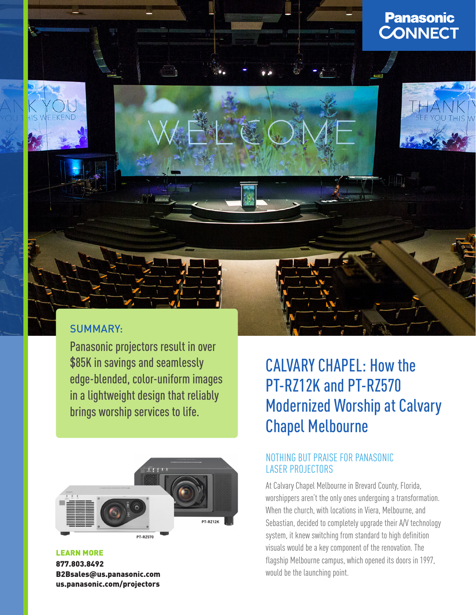

## SUMMARY:

Panasonic projectors result in over \$85K in savings and seamlessly edge-blended, color-uniform images in a lightweight design that reliably brings worship services to life.



# CALVARY CHAPEL: How the PT-RZ12K and PT-RZ570 Modernized Worship at Calvary Chapel Melbourne

### NOTHING BUT PRAISE FOR PANASONIC LASER PROJECTORS

At Calvary Chapel Melbourne in Brevard County, Florida, worshippers aren't the only ones undergoing a transformation. When the church, with locations in Viera, Melbourne, and Sebastian, decided to completely upgrade their A/V technology system, it knew switching from standard to high definition visuals would be a key component of the renovation. The flagship Melbourne campus, which opened its doors in 1997, would be the launching point.

LEARN MORE 877.803.8492 B2Bsales@us.panasonic.com [us.panasonic.com/projectors](http://us.panasonic.com/projectors)